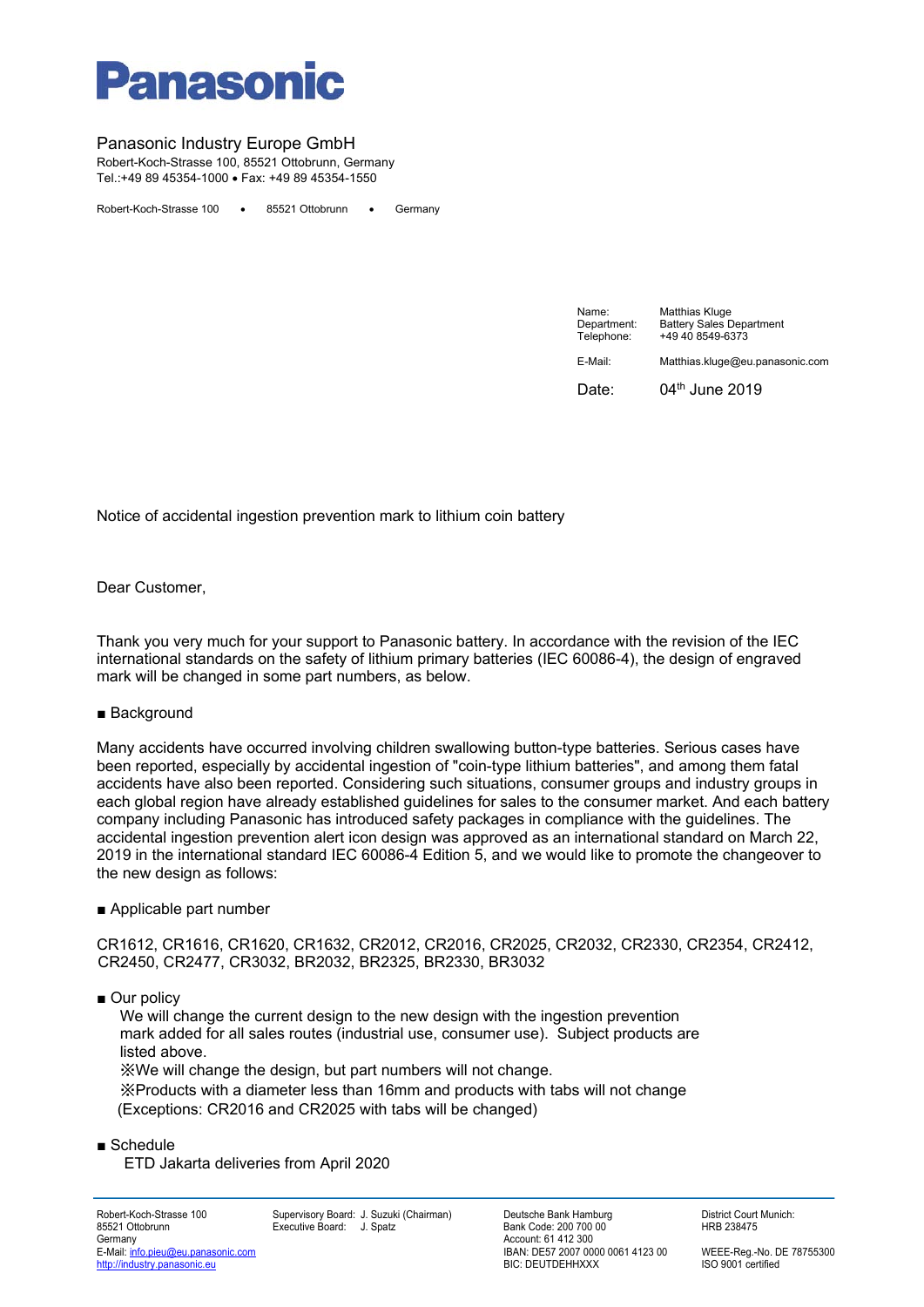

# Panasonic Industry Europe GmbH

Robert-Koch-Strasse 100, 85521 Ottobrunn, Germany Tel.:+49 89 45354-1000 Fax: +49 89 45354-1550

Robert-Koch-Strasse 100 . 85521 Ottobrunn . Germany

| Name:<br>Department:<br>Telephone: | Matthias Kluge<br><b>Battery Sales Department</b><br>+49 40 8549-6373 |
|------------------------------------|-----------------------------------------------------------------------|
| E-Mail:                            | Matthias.kluge@eu.panasonic.com                                       |
| Date:                              | 04 <sup>th</sup> June 2019                                            |

Notice of accidental ingestion prevention mark to lithium coin battery

Dear Customer,

Thank you very much for your support to Panasonic battery. In accordance with the revision of the IEC international standards on the safety of lithium primary batteries (IEC 60086-4), the design of engraved mark will be changed in some part numbers, as below.

### ■ Background

Many accidents have occurred involving children swallowing button-type batteries. Serious cases have been reported, especially by accidental ingestion of "coin-type lithium batteries", and among them fatal accidents have also been reported. Considering such situations, consumer groups and industry groups in each global region have already established guidelines for sales to the consumer market. And each battery company including Panasonic has introduced safety packages in compliance with the guidelines. The accidental ingestion prevention alert icon design was approved as an international standard on March 22, 2019 in the international standard IEC 60086-4 Edition 5, and we would like to promote the changeover to the new design as follows:

### ■ Applicable part number

CR1612, CR1616, CR1620, CR1632, CR2012, CR2016, CR2025, CR2032, CR2330, CR2354, CR2412, CR2450, CR2477, CR3032, BR2032, BR2325, BR2330, BR3032

■ Our policy

We will change the current design to the new design with the ingestion prevention mark added for all sales routes (industrial use, consumer use). Subject products are listed above.

※We will change the design, but part numbers will not change.

※Products with a diameter less than 16mm and products with tabs will not change (Exceptions: CR2016 and CR2025 with tabs will be changed)

■ Schedule

ETD Jakarta deliveries from April 2020

http://industry.panasonic.eu

Robert-Koch-Strasse 100 Supervisory Board: J. Suzuki (Chairman) Deutsche Bank Hamburg District Court Munich:

85521 Ottobrunn Executive Board: J. Spatz Bank Code: 200 700 00 HRB 238475 Account: 61 412 300<br>IBAN: DE57 2007 0000 0061 4123 00 E-Mail: info.pieu@eu.panasonic.com intervention of the state of the CHAN: DE57 2007 0000 0061 4123 00 WEEE-Reg.-No. DE 78755300<br>
BIAN: DE57 2007 0000 0061 4123 00 WEEE-Reg.-No. DE 78755300<br>
BIC: DEUTDEHHXXX ISO 9001 certif